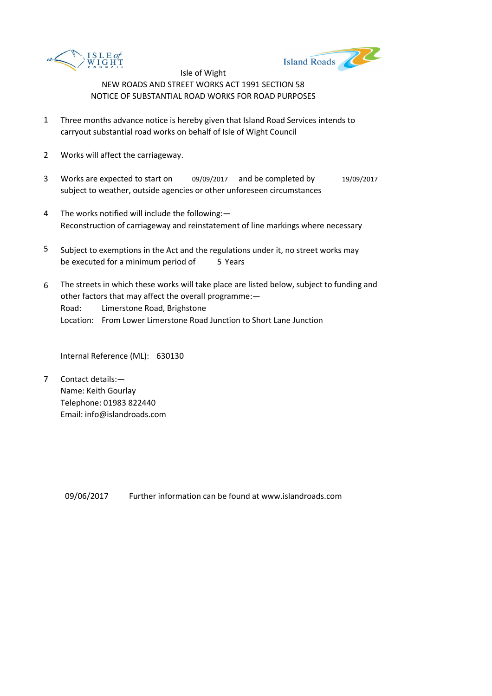



- 1 Three months advance notice is hereby given that Island Road Services intends to carryout substantial road works on behalf of Isle of Wight Council
- 2 Works will affect the carriageway.
- 3 Works are expected to start on 09/09/2017 and be completed by 19/09/2017 subject to weather, outside agencies or other unforeseen circumstances
- 4 The works notified will include the following:— Reconstruction of carriageway and reinstatement of line markings where necessary
- 5 be executed for a minimum period of 5 Years Subject to exemptions in the Act and the regulations under it, no street works may
- 6 Road: Limerstone Road, Brighstone Location: From Lower Limerstone Road Junction to Short Lane Junction The streets in which these works will take place are listed below, subject to funding and other factors that may affect the overall programme:—

Internal Reference (ML): 630130

7 Contact details:— Name: Keith Gourlay Telephone: 01983 822440 Email: info@islandroads.com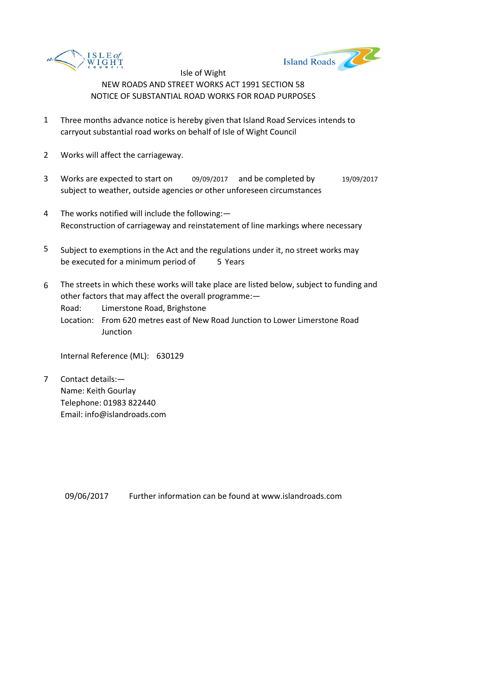



- 1 Three months advance notice is hereby given that Island Road Services intends to carryout substantial road works on behalf of Isle of Wight Council
- 2 Works will affect the carriageway.
- 3 Works are expected to start on 09/09/2017 and be completed by 19/09/2017 subject to weather, outside agencies or other unforeseen circumstances
- 4 The works notified will include the following:— Reconstruction of carriageway and reinstatement of line markings where necessary
- 5 be executed for a minimum period of 5 Years Subject to exemptions in the Act and the regulations under it, no street works may
- 6 The streets in which these works will take place are listed below, subject to funding and other factors that may affect the overall programme:—

Road: Limerstone Road, Brighstone

Location: From 620 metres east of New Road Junction to Lower Limerstone Road Junction

Internal Reference (ML): 630129

7 Contact details:— Name: Keith Gourlay Telephone: 01983 822440 Email: info@islandroads.com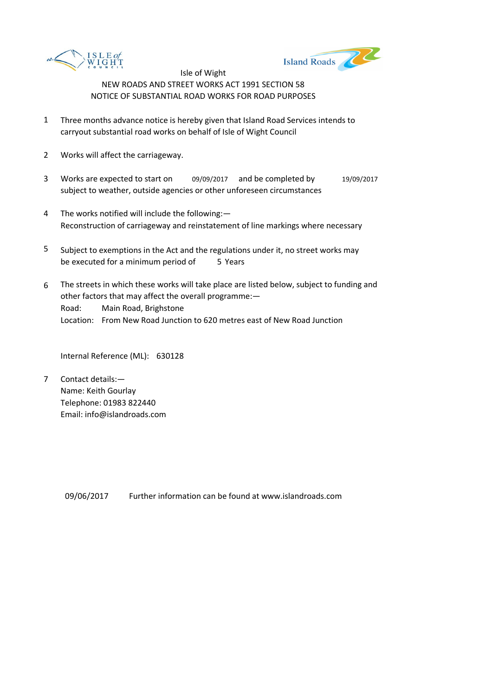



- 1 Three months advance notice is hereby given that Island Road Services intends to carryout substantial road works on behalf of Isle of Wight Council
- 2 Works will affect the carriageway.
- 3 Works are expected to start on 09/09/2017 and be completed by 19/09/2017 subject to weather, outside agencies or other unforeseen circumstances
- 4 The works notified will include the following:— Reconstruction of carriageway and reinstatement of line markings where necessary
- 5 be executed for a minimum period of 5 Years Subject to exemptions in the Act and the regulations under it, no street works may
- 6 Road: Main Road, Brighstone Location: From New Road Junction to 620 metres east of New Road Junction The streets in which these works will take place are listed below, subject to funding and other factors that may affect the overall programme:—

Internal Reference (ML): 630128

7 Contact details:— Name: Keith Gourlay Telephone: 01983 822440 Email: info@islandroads.com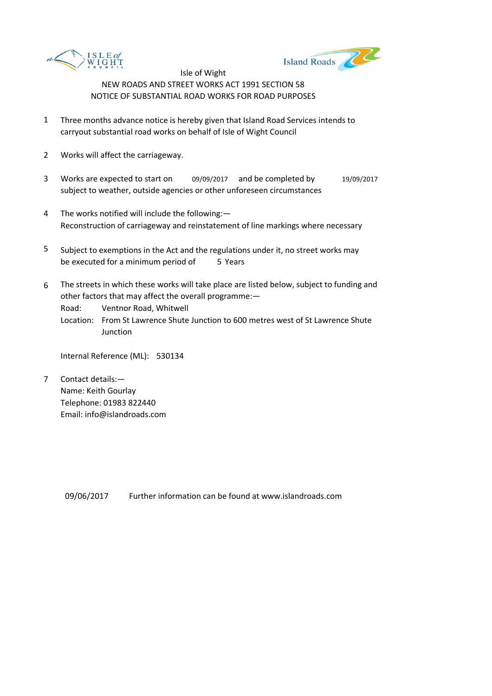



- 1 Three months advance notice is hereby given that Island Road Services intends to carryout substantial road works on behalf of Isle of Wight Council
- 2 Works will affect the carriageway.
- 3 Works are expected to start on 09/09/2017 and be completed by 19/09/2017 subject to weather, outside agencies or other unforeseen circumstances
- 4 The works notified will include the following:— Reconstruction of carriageway and reinstatement of line markings where necessary
- 5 be executed for a minimum period of 5 Years Subject to exemptions in the Act and the regulations under it, no street works may
- 6 The streets in which these works will take place are listed below, subject to funding and other factors that may affect the overall programme:—

Road: Ventnor Road, Whitwell

Location: From St Lawrence Shute Junction to 600 metres west of St Lawrence Shute Junction

Internal Reference (ML): 530134

7 Contact details:— Name: Keith Gourlay Telephone: 01983 822440 Email: info@islandroads.com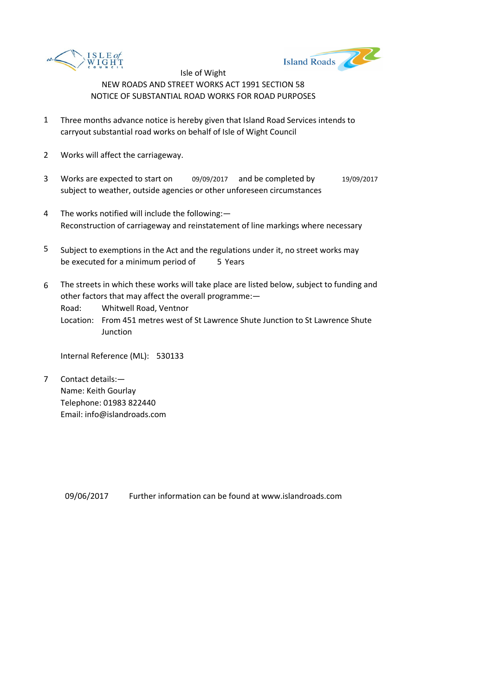



- 1 Three months advance notice is hereby given that Island Road Services intends to carryout substantial road works on behalf of Isle of Wight Council
- 2 Works will affect the carriageway.
- 3 Works are expected to start on 09/09/2017 and be completed by 19/09/2017 subject to weather, outside agencies or other unforeseen circumstances
- 4 The works notified will include the following:— Reconstruction of carriageway and reinstatement of line markings where necessary
- 5 be executed for a minimum period of 5 Years Subject to exemptions in the Act and the regulations under it, no street works may
- 6 The streets in which these works will take place are listed below, subject to funding and other factors that may affect the overall programme:—

Road: Whitwell Road, Ventnor

Location: From 451 metres west of St Lawrence Shute Junction to St Lawrence Shute **Junction** 

Internal Reference (ML): 530133

7 Contact details:— Name: Keith Gourlay Telephone: 01983 822440 Email: info@islandroads.com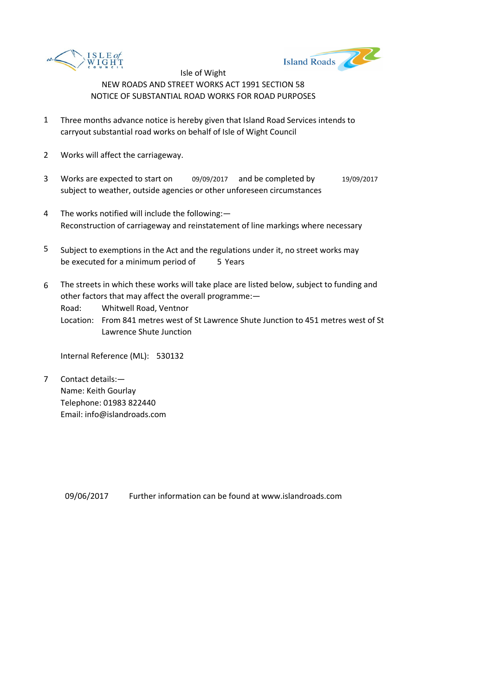



- 1 Three months advance notice is hereby given that Island Road Services intends to carryout substantial road works on behalf of Isle of Wight Council
- 2 Works will affect the carriageway.
- 3 Works are expected to start on 09/09/2017 and be completed by 19/09/2017 subject to weather, outside agencies or other unforeseen circumstances
- 4 The works notified will include the following:— Reconstruction of carriageway and reinstatement of line markings where necessary
- 5 be executed for a minimum period of 5 Years Subject to exemptions in the Act and the regulations under it, no street works may
- 6 The streets in which these works will take place are listed below, subject to funding and other factors that may affect the overall programme:—

Road: Whitwell Road, Ventnor

Location: From 841 metres west of St Lawrence Shute Junction to 451 metres west of St Lawrence Shute Junction

Internal Reference (ML): 530132

7 Contact details:— Name: Keith Gourlay Telephone: 01983 822440 Email: info@islandroads.com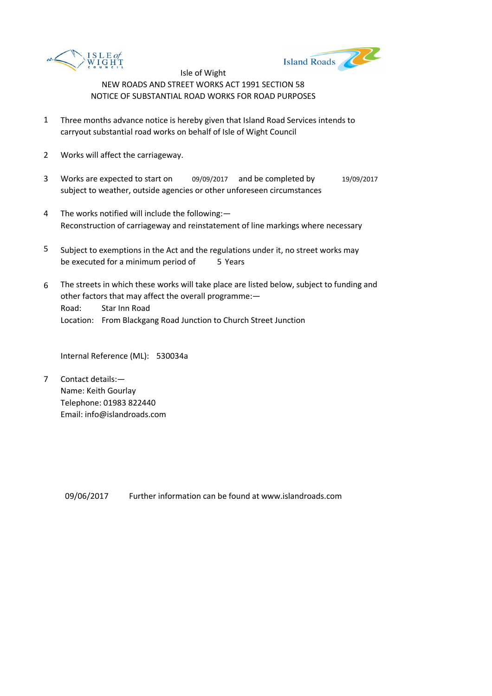



- 1 Three months advance notice is hereby given that Island Road Services intends to carryout substantial road works on behalf of Isle of Wight Council
- 2 Works will affect the carriageway.
- 3 Works are expected to start on 09/09/2017 and be completed by 19/09/2017 subject to weather, outside agencies or other unforeseen circumstances
- 4 The works notified will include the following:— Reconstruction of carriageway and reinstatement of line markings where necessary
- 5 be executed for a minimum period of 5 Years Subject to exemptions in the Act and the regulations under it, no street works may
- 6 Road: Star Inn Road Location: From Blackgang Road Junction to Church Street Junction The streets in which these works will take place are listed below, subject to funding and other factors that may affect the overall programme:—

Internal Reference (ML): 530034a

7 Contact details:— Name: Keith Gourlay Telephone: 01983 822440 Email: info@islandroads.com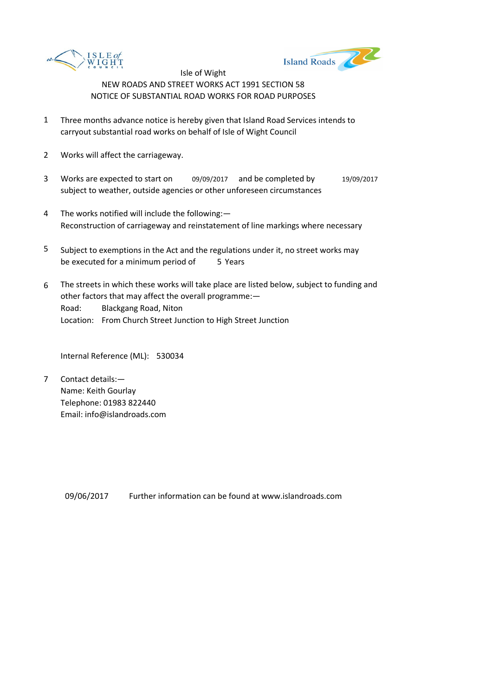



- 1 Three months advance notice is hereby given that Island Road Services intends to carryout substantial road works on behalf of Isle of Wight Council
- 2 Works will affect the carriageway.
- 3 Works are expected to start on 09/09/2017 and be completed by 19/09/2017 subject to weather, outside agencies or other unforeseen circumstances
- 4 The works notified will include the following:— Reconstruction of carriageway and reinstatement of line markings where necessary
- 5 be executed for a minimum period of 5 Years Subject to exemptions in the Act and the regulations under it, no street works may
- 6 Road: Blackgang Road, Niton Location: From Church Street Junction to High Street Junction The streets in which these works will take place are listed below, subject to funding and other factors that may affect the overall programme:—

Internal Reference (ML): 530034

7 Contact details:— Name: Keith Gourlay Telephone: 01983 822440 Email: info@islandroads.com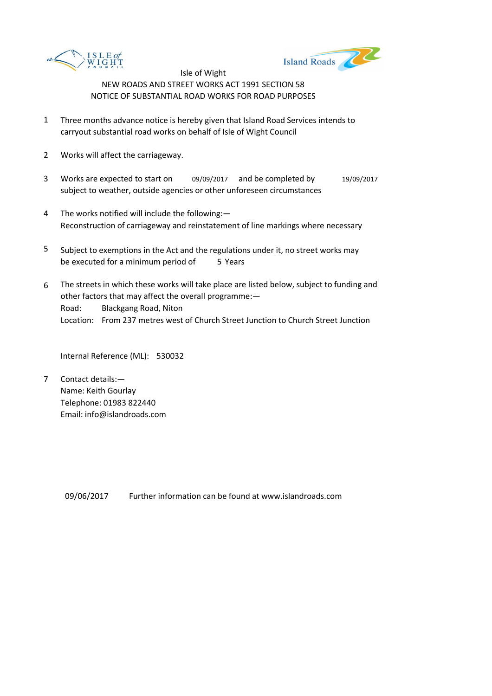



- 1 Three months advance notice is hereby given that Island Road Services intends to carryout substantial road works on behalf of Isle of Wight Council
- 2 Works will affect the carriageway.
- 3 Works are expected to start on 09/09/2017 and be completed by 19/09/2017 subject to weather, outside agencies or other unforeseen circumstances
- 4 The works notified will include the following:— Reconstruction of carriageway and reinstatement of line markings where necessary
- 5 be executed for a minimum period of 5 Years Subject to exemptions in the Act and the regulations under it, no street works may
- 6 Road: Blackgang Road, Niton Location: From 237 metres west of Church Street Junction to Church Street Junction The streets in which these works will take place are listed below, subject to funding and other factors that may affect the overall programme:—

Internal Reference (ML): 530032

7 Contact details:— Name: Keith Gourlay Telephone: 01983 822440 Email: info@islandroads.com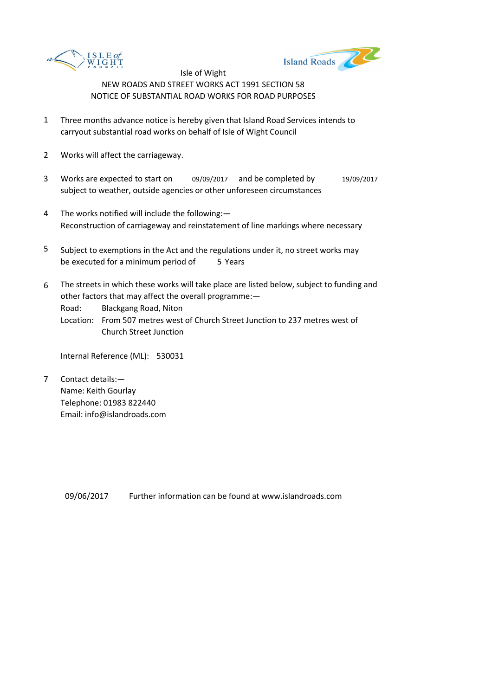



- 1 Three months advance notice is hereby given that Island Road Services intends to carryout substantial road works on behalf of Isle of Wight Council
- 2 Works will affect the carriageway.
- 3 Works are expected to start on 09/09/2017 and be completed by 19/09/2017 subject to weather, outside agencies or other unforeseen circumstances
- 4 The works notified will include the following:— Reconstruction of carriageway and reinstatement of line markings where necessary
- 5 be executed for a minimum period of 5 Years Subject to exemptions in the Act and the regulations under it, no street works may
- 6 The streets in which these works will take place are listed below, subject to funding and other factors that may affect the overall programme:—

Road: Blackgang Road, Niton

Location: From 507 metres west of Church Street Junction to 237 metres west of Church Street Junction

Internal Reference (ML): 530031

7 Contact details:— Name: Keith Gourlay Telephone: 01983 822440 Email: info@islandroads.com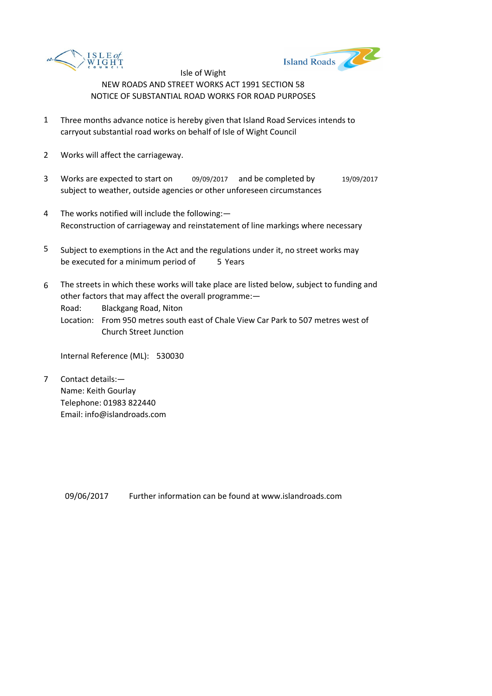



- 1 Three months advance notice is hereby given that Island Road Services intends to carryout substantial road works on behalf of Isle of Wight Council
- 2 Works will affect the carriageway.
- 3 Works are expected to start on 09/09/2017 and be completed by 19/09/2017 subject to weather, outside agencies or other unforeseen circumstances
- 4 The works notified will include the following:— Reconstruction of carriageway and reinstatement of line markings where necessary
- 5 be executed for a minimum period of 5 Years Subject to exemptions in the Act and the regulations under it, no street works may
- 6 The streets in which these works will take place are listed below, subject to funding and other factors that may affect the overall programme:—

Road: Blackgang Road, Niton

Location: From 950 metres south east of Chale View Car Park to 507 metres west of Church Street Junction

Internal Reference (ML): 530030

7 Contact details:— Name: Keith Gourlay Telephone: 01983 822440 Email: info@islandroads.com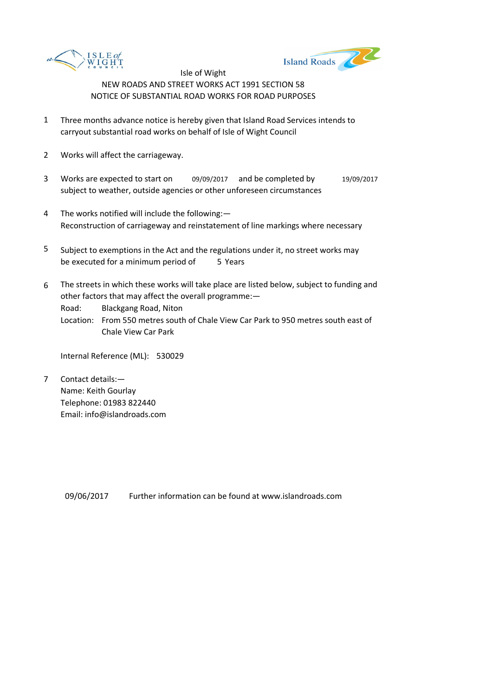



- 1 Three months advance notice is hereby given that Island Road Services intends to carryout substantial road works on behalf of Isle of Wight Council
- 2 Works will affect the carriageway.
- 3 Works are expected to start on 09/09/2017 and be completed by 19/09/2017 subject to weather, outside agencies or other unforeseen circumstances
- 4 The works notified will include the following:— Reconstruction of carriageway and reinstatement of line markings where necessary
- 5 be executed for a minimum period of 5 Years Subject to exemptions in the Act and the regulations under it, no street works may
- 6 The streets in which these works will take place are listed below, subject to funding and other factors that may affect the overall programme:—

Road: Blackgang Road, Niton

Location: From 550 metres south of Chale View Car Park to 950 metres south east of Chale View Car Park

Internal Reference (ML): 530029

7 Contact details:— Name: Keith Gourlay Telephone: 01983 822440 Email: info@islandroads.com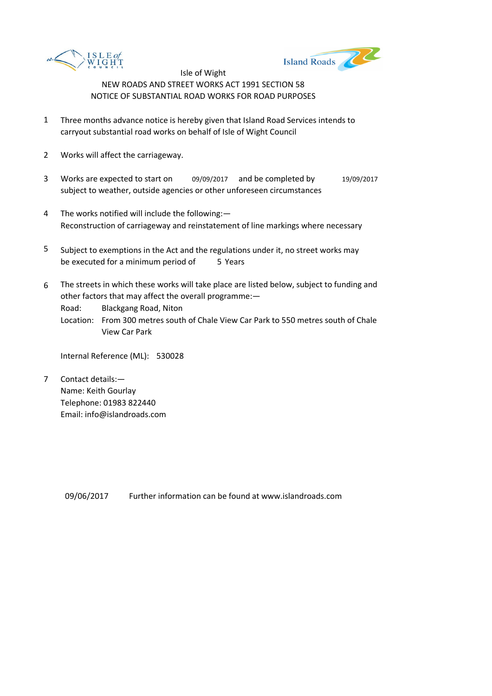



- 1 Three months advance notice is hereby given that Island Road Services intends to carryout substantial road works on behalf of Isle of Wight Council
- 2 Works will affect the carriageway.
- 3 Works are expected to start on 09/09/2017 and be completed by 19/09/2017 subject to weather, outside agencies or other unforeseen circumstances
- 4 The works notified will include the following:— Reconstruction of carriageway and reinstatement of line markings where necessary
- 5 be executed for a minimum period of 5 Years Subject to exemptions in the Act and the regulations under it, no street works may
- 6 The streets in which these works will take place are listed below, subject to funding and other factors that may affect the overall programme:—

Road: Blackgang Road, Niton

Location: From 300 metres south of Chale View Car Park to 550 metres south of Chale View Car Park

Internal Reference (ML): 530028

7 Contact details:— Name: Keith Gourlay Telephone: 01983 822440 Email: info@islandroads.com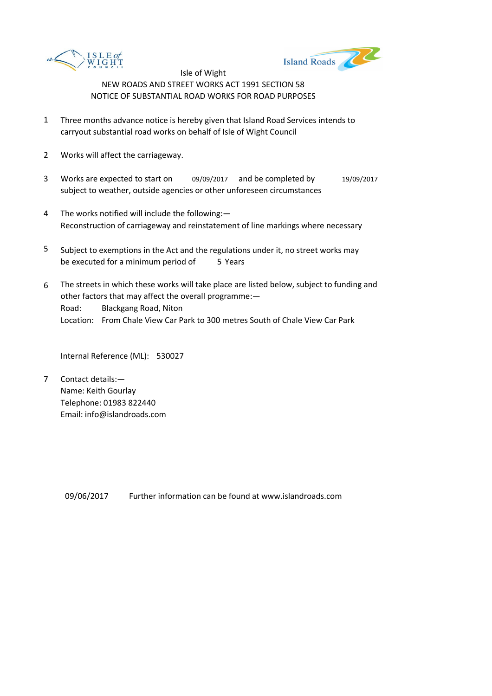



- 1 Three months advance notice is hereby given that Island Road Services intends to carryout substantial road works on behalf of Isle of Wight Council
- 2 Works will affect the carriageway.
- 3 Works are expected to start on 09/09/2017 and be completed by 19/09/2017 subject to weather, outside agencies or other unforeseen circumstances
- 4 The works notified will include the following:— Reconstruction of carriageway and reinstatement of line markings where necessary
- 5 be executed for a minimum period of 5 Years Subject to exemptions in the Act and the regulations under it, no street works may
- 6 Road: Blackgang Road, Niton Location: From Chale View Car Park to 300 metres South of Chale View Car Park The streets in which these works will take place are listed below, subject to funding and other factors that may affect the overall programme:—

Internal Reference (ML): 530027

7 Contact details:— Name: Keith Gourlay Telephone: 01983 822440 Email: info@islandroads.com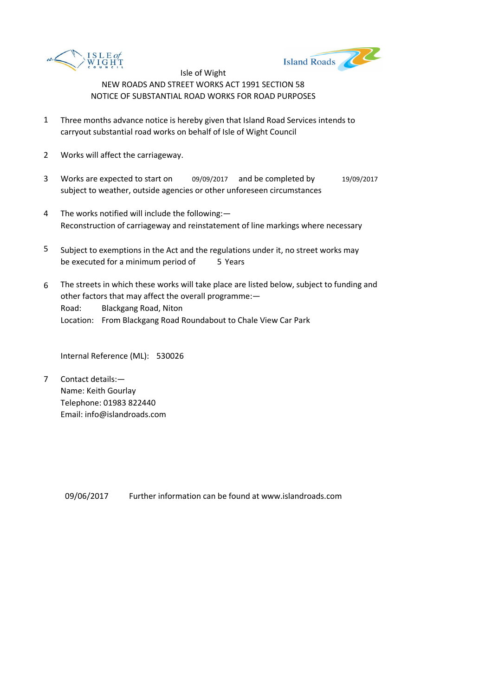



- 1 Three months advance notice is hereby given that Island Road Services intends to carryout substantial road works on behalf of Isle of Wight Council
- 2 Works will affect the carriageway.
- 3 Works are expected to start on 09/09/2017 and be completed by 19/09/2017 subject to weather, outside agencies or other unforeseen circumstances
- 4 The works notified will include the following:— Reconstruction of carriageway and reinstatement of line markings where necessary
- 5 be executed for a minimum period of 5 Years Subject to exemptions in the Act and the regulations under it, no street works may
- 6 Road: Blackgang Road, Niton Location: From Blackgang Road Roundabout to Chale View Car Park The streets in which these works will take place are listed below, subject to funding and other factors that may affect the overall programme:—

Internal Reference (ML): 530026

7 Contact details:— Name: Keith Gourlay Telephone: 01983 822440 Email: info@islandroads.com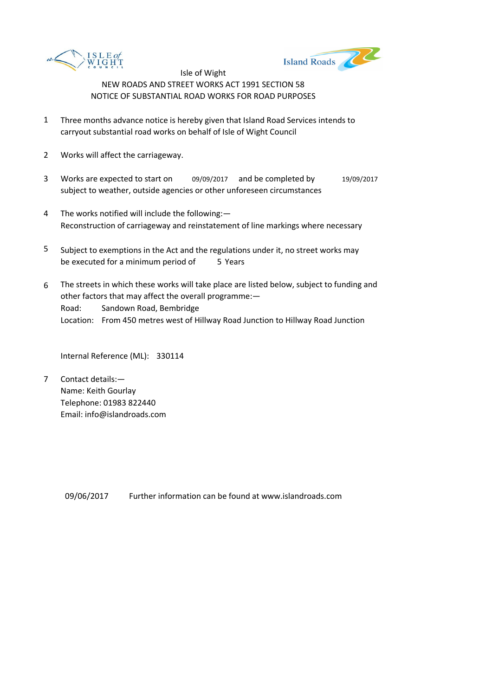



- 1 Three months advance notice is hereby given that Island Road Services intends to carryout substantial road works on behalf of Isle of Wight Council
- 2 Works will affect the carriageway.
- 3 Works are expected to start on 09/09/2017 and be completed by 19/09/2017 subject to weather, outside agencies or other unforeseen circumstances
- 4 The works notified will include the following:— Reconstruction of carriageway and reinstatement of line markings where necessary
- 5 be executed for a minimum period of 5 Years Subject to exemptions in the Act and the regulations under it, no street works may
- 6 Road: Sandown Road, Bembridge Location: From 450 metres west of Hillway Road Junction to Hillway Road Junction The streets in which these works will take place are listed below, subject to funding and other factors that may affect the overall programme:—

Internal Reference (ML): 330114

7 Contact details:— Name: Keith Gourlay Telephone: 01983 822440 Email: info@islandroads.com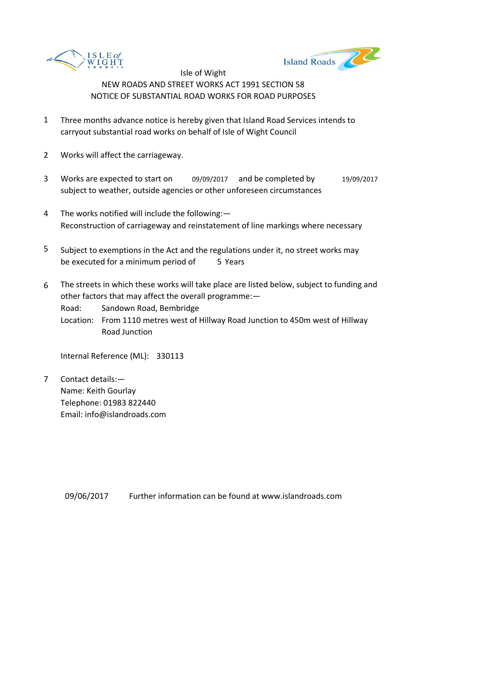



- 1 Three months advance notice is hereby given that Island Road Services intends to carryout substantial road works on behalf of Isle of Wight Council
- 2 Works will affect the carriageway.
- 3 Works are expected to start on 09/09/2017 and be completed by 19/09/2017 subject to weather, outside agencies or other unforeseen circumstances
- 4 The works notified will include the following:— Reconstruction of carriageway and reinstatement of line markings where necessary
- 5 be executed for a minimum period of 5 Years Subject to exemptions in the Act and the regulations under it, no street works may
- 6 The streets in which these works will take place are listed below, subject to funding and other factors that may affect the overall programme:—

Road: Sandown Road, Bembridge

Location: From 1110 metres west of Hillway Road Junction to 450m west of Hillway Road Junction

Internal Reference (ML): 330113

7 Contact details:— Name: Keith Gourlay Telephone: 01983 822440 Email: info@islandroads.com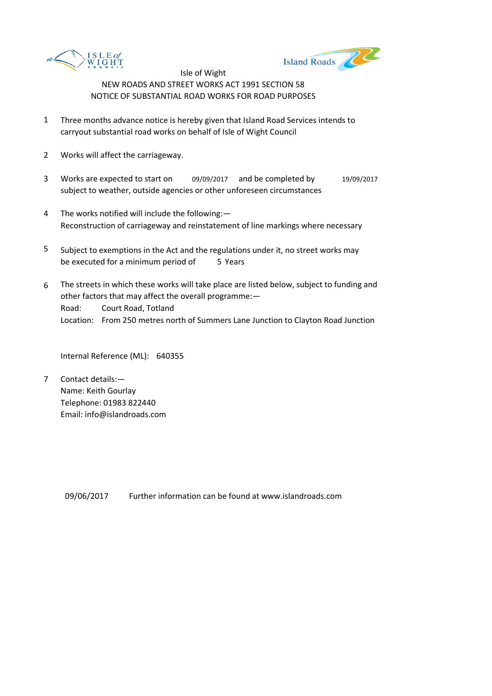



- 1 Three months advance notice is hereby given that Island Road Services intends to carryout substantial road works on behalf of Isle of Wight Council
- 2 Works will affect the carriageway.
- 3 Works are expected to start on 09/09/2017 and be completed by 19/09/2017 subject to weather, outside agencies or other unforeseen circumstances
- 4 The works notified will include the following:— Reconstruction of carriageway and reinstatement of line markings where necessary
- 5 be executed for a minimum period of 5 Years Subject to exemptions in the Act and the regulations under it, no street works may
- 6 Road: Court Road, Totland Location: From 250 metres north of Summers Lane Junction to Clayton Road Junction The streets in which these works will take place are listed below, subject to funding and other factors that may affect the overall programme:—

Internal Reference (ML): 640355

7 Contact details:— Name: Keith Gourlay Telephone: 01983 822440 Email: info@islandroads.com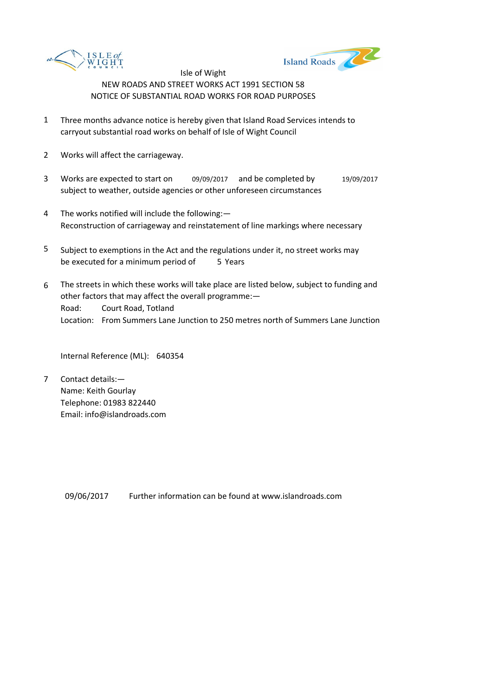



- 1 Three months advance notice is hereby given that Island Road Services intends to carryout substantial road works on behalf of Isle of Wight Council
- 2 Works will affect the carriageway.
- 3 Works are expected to start on 09/09/2017 and be completed by 19/09/2017 subject to weather, outside agencies or other unforeseen circumstances
- 4 The works notified will include the following:— Reconstruction of carriageway and reinstatement of line markings where necessary
- 5 be executed for a minimum period of 5 Years Subject to exemptions in the Act and the regulations under it, no street works may
- 6 Road: Court Road, Totland Location: From Summers Lane Junction to 250 metres north of Summers Lane Junction The streets in which these works will take place are listed below, subject to funding and other factors that may affect the overall programme:—

Internal Reference (ML): 640354

7 Contact details:— Name: Keith Gourlay Telephone: 01983 822440 Email: info@islandroads.com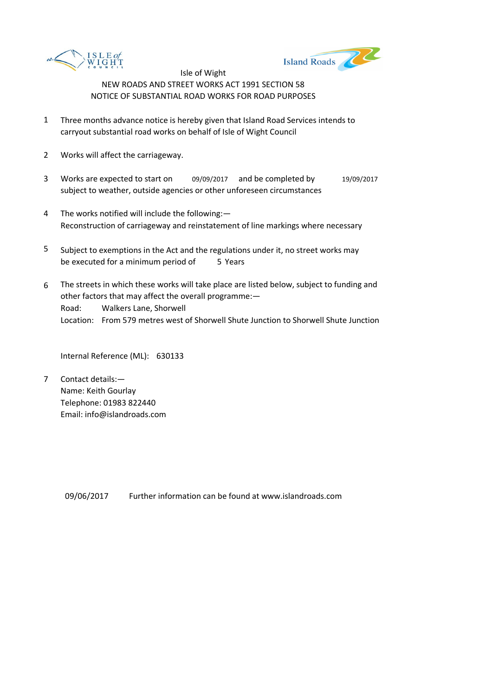



- 1 Three months advance notice is hereby given that Island Road Services intends to carryout substantial road works on behalf of Isle of Wight Council
- 2 Works will affect the carriageway.
- 3 Works are expected to start on 09/09/2017 and be completed by 19/09/2017 subject to weather, outside agencies or other unforeseen circumstances
- 4 The works notified will include the following:— Reconstruction of carriageway and reinstatement of line markings where necessary
- 5 be executed for a minimum period of 5 Years Subject to exemptions in the Act and the regulations under it, no street works may
- 6 Road: Walkers Lane, Shorwell Location: From 579 metres west of Shorwell Shute Junction to Shorwell Shute Junction The streets in which these works will take place are listed below, subject to funding and other factors that may affect the overall programme:—

Internal Reference (ML): 630133

7 Contact details:— Name: Keith Gourlay Telephone: 01983 822440 Email: info@islandroads.com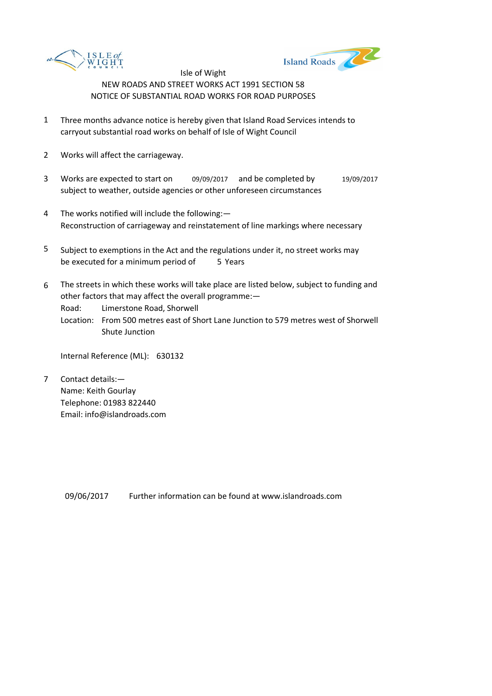



- 1 Three months advance notice is hereby given that Island Road Services intends to carryout substantial road works on behalf of Isle of Wight Council
- 2 Works will affect the carriageway.
- 3 Works are expected to start on 09/09/2017 and be completed by 19/09/2017 subject to weather, outside agencies or other unforeseen circumstances
- 4 The works notified will include the following:— Reconstruction of carriageway and reinstatement of line markings where necessary
- 5 be executed for a minimum period of 5 Years Subject to exemptions in the Act and the regulations under it, no street works may
- 6 The streets in which these works will take place are listed below, subject to funding and other factors that may affect the overall programme:—

Road: Limerstone Road, Shorwell

Location: From 500 metres east of Short Lane Junction to 579 metres west of Shorwell Shute Junction

Internal Reference (ML): 630132

7 Contact details:— Name: Keith Gourlay Telephone: 01983 822440 Email: info@islandroads.com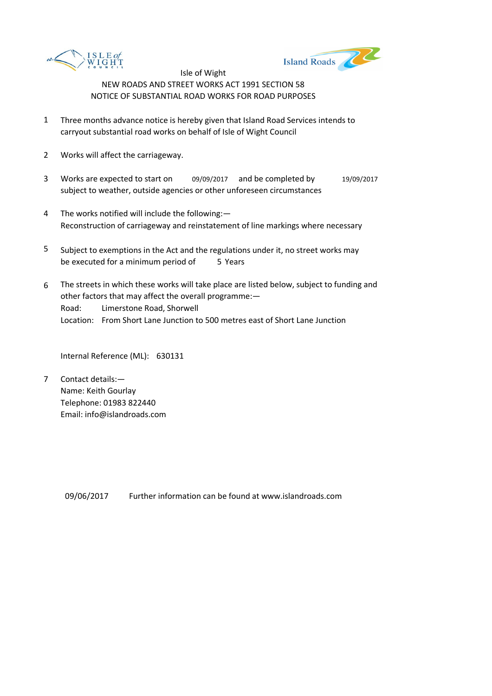



- 1 Three months advance notice is hereby given that Island Road Services intends to carryout substantial road works on behalf of Isle of Wight Council
- 2 Works will affect the carriageway.
- 3 Works are expected to start on 09/09/2017 and be completed by 19/09/2017 subject to weather, outside agencies or other unforeseen circumstances
- 4 The works notified will include the following:— Reconstruction of carriageway and reinstatement of line markings where necessary
- 5 be executed for a minimum period of 5 Years Subject to exemptions in the Act and the regulations under it, no street works may
- 6 Road: Limerstone Road, Shorwell Location: From Short Lane Junction to 500 metres east of Short Lane Junction The streets in which these works will take place are listed below, subject to funding and other factors that may affect the overall programme:—

Internal Reference (ML): 630131

7 Contact details:— Name: Keith Gourlay Telephone: 01983 822440 Email: info@islandroads.com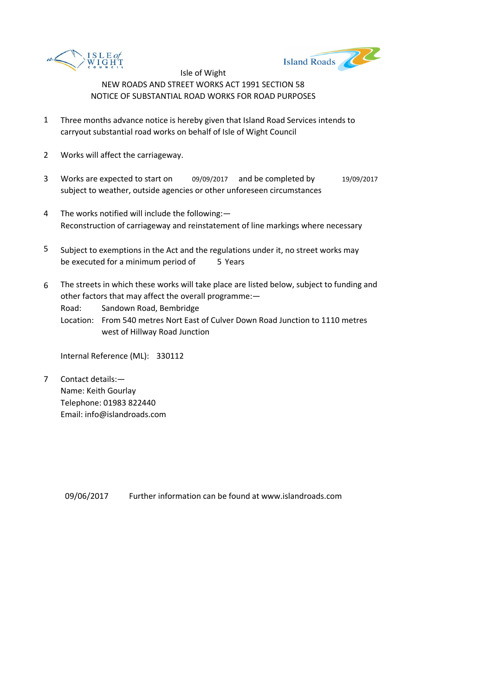



- 1 Three months advance notice is hereby given that Island Road Services intends to carryout substantial road works on behalf of Isle of Wight Council
- 2 Works will affect the carriageway.
- 3 Works are expected to start on 09/09/2017 and be completed by 19/09/2017 subject to weather, outside agencies or other unforeseen circumstances
- 4 The works notified will include the following:— Reconstruction of carriageway and reinstatement of line markings where necessary
- 5 be executed for a minimum period of 5 Years Subject to exemptions in the Act and the regulations under it, no street works may
- 6 The streets in which these works will take place are listed below, subject to funding and other factors that may affect the overall programme:—

Road: Sandown Road, Bembridge

Location: From 540 metres Nort East of Culver Down Road Junction to 1110 metres west of Hillway Road Junction

Internal Reference (ML): 330112

7 Contact details:— Name: Keith Gourlay Telephone: 01983 822440 Email: info@islandroads.com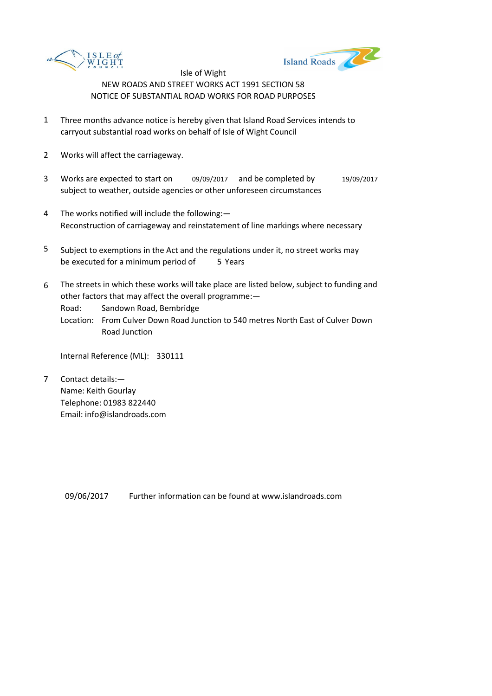



- 1 Three months advance notice is hereby given that Island Road Services intends to carryout substantial road works on behalf of Isle of Wight Council
- 2 Works will affect the carriageway.
- 3 Works are expected to start on 09/09/2017 and be completed by 19/09/2017 subject to weather, outside agencies or other unforeseen circumstances
- 4 The works notified will include the following:— Reconstruction of carriageway and reinstatement of line markings where necessary
- 5 be executed for a minimum period of 5 Years Subject to exemptions in the Act and the regulations under it, no street works may
- 6 The streets in which these works will take place are listed below, subject to funding and other factors that may affect the overall programme:—

Road: Sandown Road, Bembridge

Location: From Culver Down Road Junction to 540 metres North East of Culver Down Road Junction

Internal Reference (ML): 330111

7 Contact details:— Name: Keith Gourlay Telephone: 01983 822440 Email: info@islandroads.com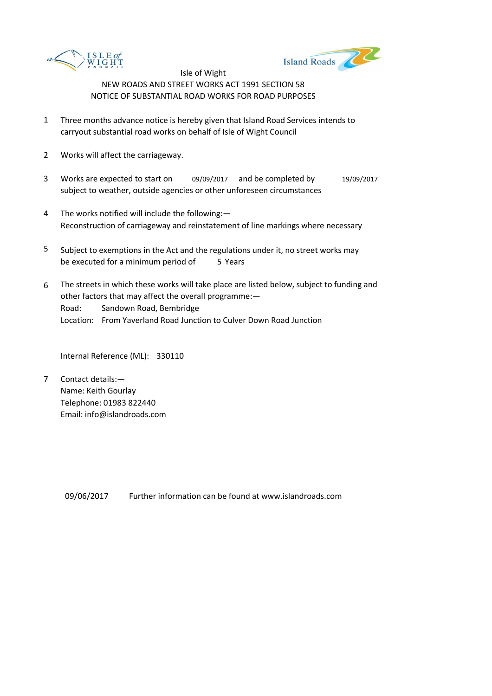



- 1 Three months advance notice is hereby given that Island Road Services intends to carryout substantial road works on behalf of Isle of Wight Council
- 2 Works will affect the carriageway.
- 3 Works are expected to start on 09/09/2017 and be completed by 19/09/2017 subject to weather, outside agencies or other unforeseen circumstances
- 4 The works notified will include the following:— Reconstruction of carriageway and reinstatement of line markings where necessary
- 5 be executed for a minimum period of 5 Years Subject to exemptions in the Act and the regulations under it, no street works may
- 6 Road: Sandown Road, Bembridge Location: From Yaverland Road Junction to Culver Down Road Junction The streets in which these works will take place are listed below, subject to funding and other factors that may affect the overall programme:—

Internal Reference (ML): 330110

7 Contact details:— Name: Keith Gourlay Telephone: 01983 822440 Email: info@islandroads.com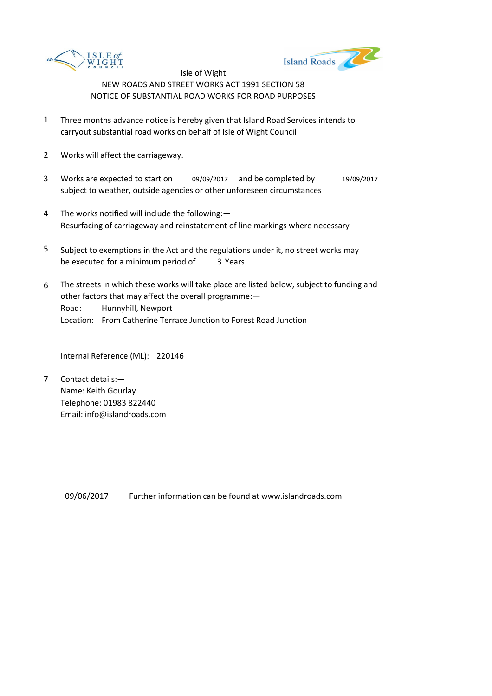



- 1 Three months advance notice is hereby given that Island Road Services intends to carryout substantial road works on behalf of Isle of Wight Council
- 2 Works will affect the carriageway.
- 3 Works are expected to start on 09/09/2017 and be completed by 19/09/2017 subject to weather, outside agencies or other unforeseen circumstances
- 4 The works notified will include the following:— Resurfacing of carriageway and reinstatement of line markings where necessary
- 5 be executed for a minimum period of 3 Years Subject to exemptions in the Act and the regulations under it, no street works may
- 6 Road: Hunnyhill, Newport Location: From Catherine Terrace Junction to Forest Road Junction The streets in which these works will take place are listed below, subject to funding and other factors that may affect the overall programme:—

Internal Reference (ML): 220146

7 Contact details:— Name: Keith Gourlay Telephone: 01983 822440 Email: info@islandroads.com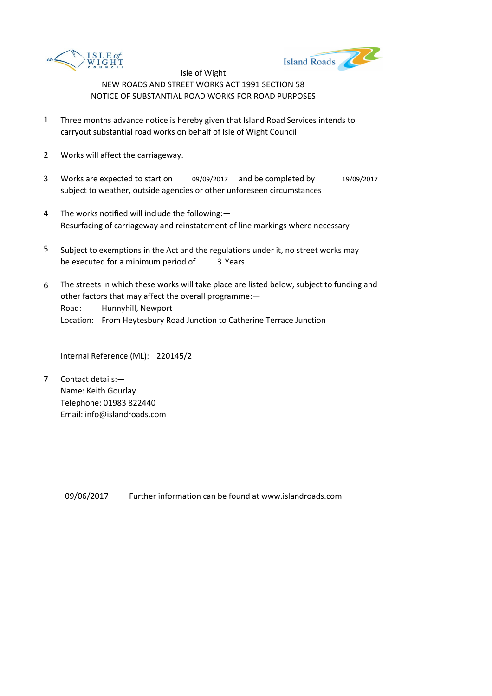



- 1 Three months advance notice is hereby given that Island Road Services intends to carryout substantial road works on behalf of Isle of Wight Council
- 2 Works will affect the carriageway.
- 3 Works are expected to start on 09/09/2017 and be completed by 19/09/2017 subject to weather, outside agencies or other unforeseen circumstances
- 4 The works notified will include the following:— Resurfacing of carriageway and reinstatement of line markings where necessary
- 5 be executed for a minimum period of 3 Years Subject to exemptions in the Act and the regulations under it, no street works may
- 6 Road: Hunnyhill, Newport Location: From Heytesbury Road Junction to Catherine Terrace Junction The streets in which these works will take place are listed below, subject to funding and other factors that may affect the overall programme:—

Internal Reference (ML): 220145/2

7 Contact details:— Name: Keith Gourlay Telephone: 01983 822440 Email: info@islandroads.com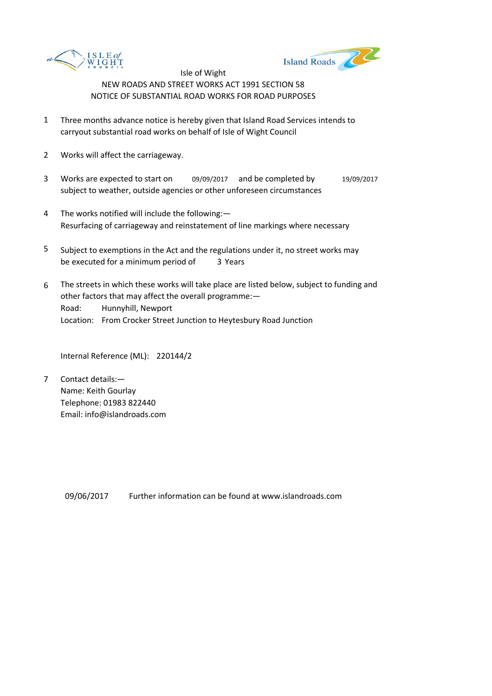



- 1 Three months advance notice is hereby given that Island Road Services intends to carryout substantial road works on behalf of Isle of Wight Council
- 2 Works will affect the carriageway.
- 3 Works are expected to start on 09/09/2017 and be completed by 19/09/2017 subject to weather, outside agencies or other unforeseen circumstances
- 4 The works notified will include the following:— Resurfacing of carriageway and reinstatement of line markings where necessary
- 5 be executed for a minimum period of 3 Years Subject to exemptions in the Act and the regulations under it, no street works may
- 6 Road: Hunnyhill, Newport Location: From Crocker Street Junction to Heytesbury Road Junction The streets in which these works will take place are listed below, subject to funding and other factors that may affect the overall programme:—

Internal Reference (ML): 220144/2

7 Contact details:— Name: Keith Gourlay Telephone: 01983 822440 Email: info@islandroads.com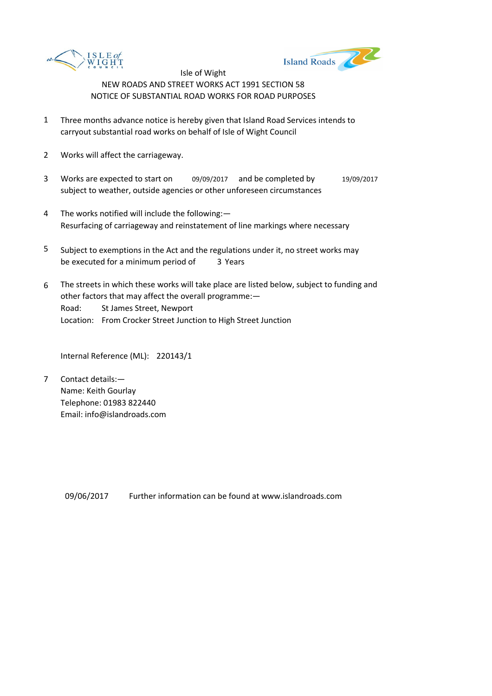



- 1 Three months advance notice is hereby given that Island Road Services intends to carryout substantial road works on behalf of Isle of Wight Council
- 2 Works will affect the carriageway.
- 3 Works are expected to start on 09/09/2017 and be completed by 19/09/2017 subject to weather, outside agencies or other unforeseen circumstances
- 4 The works notified will include the following:— Resurfacing of carriageway and reinstatement of line markings where necessary
- 5 be executed for a minimum period of 3 Years Subject to exemptions in the Act and the regulations under it, no street works may
- 6 Road: St James Street, Newport Location: From Crocker Street Junction to High Street Junction The streets in which these works will take place are listed below, subject to funding and other factors that may affect the overall programme:—

Internal Reference (ML): 220143/1

7 Contact details:— Name: Keith Gourlay Telephone: 01983 822440 Email: info@islandroads.com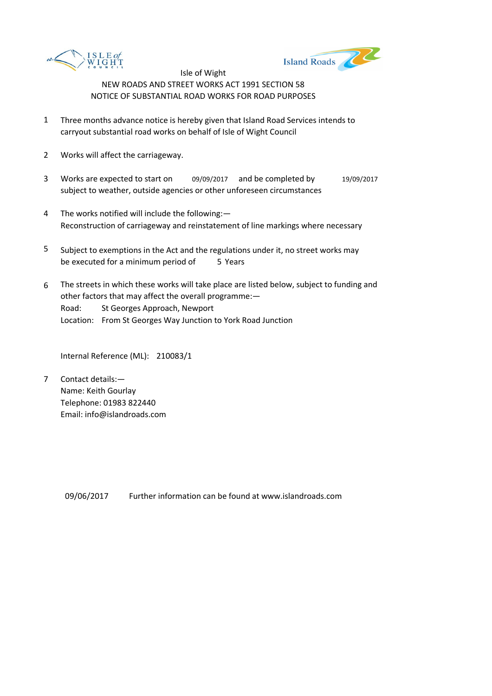



- 1 Three months advance notice is hereby given that Island Road Services intends to carryout substantial road works on behalf of Isle of Wight Council
- 2 Works will affect the carriageway.
- 3 Works are expected to start on 09/09/2017 and be completed by 19/09/2017 subject to weather, outside agencies or other unforeseen circumstances
- 4 The works notified will include the following:— Reconstruction of carriageway and reinstatement of line markings where necessary
- 5 be executed for a minimum period of 5 Years Subject to exemptions in the Act and the regulations under it, no street works may
- 6 Road: St Georges Approach, Newport Location: From St Georges Way Junction to York Road Junction The streets in which these works will take place are listed below, subject to funding and other factors that may affect the overall programme:—

Internal Reference (ML): 210083/1

7 Contact details:— Name: Keith Gourlay Telephone: 01983 822440 Email: info@islandroads.com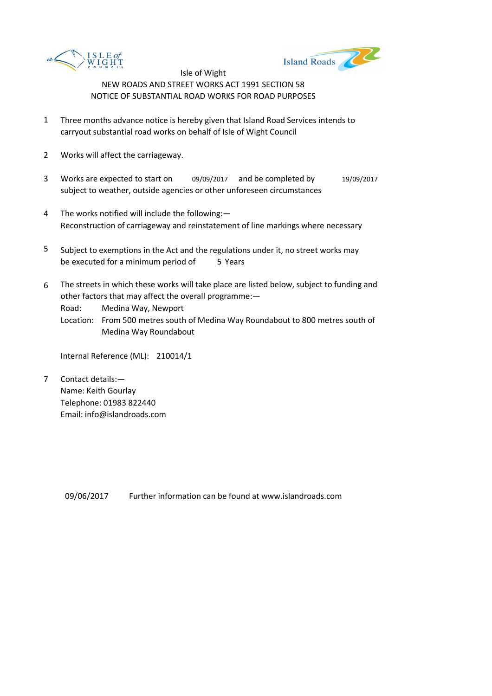



- 1 Three months advance notice is hereby given that Island Road Services intends to carryout substantial road works on behalf of Isle of Wight Council
- 2 Works will affect the carriageway.
- 3 Works are expected to start on 09/09/2017 and be completed by 19/09/2017 subject to weather, outside agencies or other unforeseen circumstances
- 4 The works notified will include the following:— Reconstruction of carriageway and reinstatement of line markings where necessary
- 5 be executed for a minimum period of 5 Years Subject to exemptions in the Act and the regulations under it, no street works may
- 6 The streets in which these works will take place are listed below, subject to funding and other factors that may affect the overall programme:—

Road: Medina Way, Newport

Location: From 500 metres south of Medina Way Roundabout to 800 metres south of Medina Way Roundabout

Internal Reference (ML): 210014/1

7 Contact details:— Name: Keith Gourlay Telephone: 01983 822440 Email: info@islandroads.com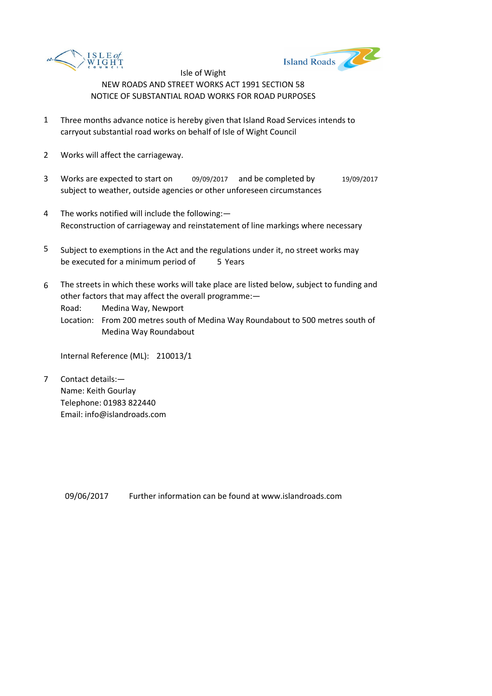



- 1 Three months advance notice is hereby given that Island Road Services intends to carryout substantial road works on behalf of Isle of Wight Council
- 2 Works will affect the carriageway.
- 3 Works are expected to start on 09/09/2017 and be completed by 19/09/2017 subject to weather, outside agencies or other unforeseen circumstances
- 4 The works notified will include the following:— Reconstruction of carriageway and reinstatement of line markings where necessary
- 5 be executed for a minimum period of 5 Years Subject to exemptions in the Act and the regulations under it, no street works may
- 6 The streets in which these works will take place are listed below, subject to funding and other factors that may affect the overall programme:—

Road: Medina Way, Newport

Location: From 200 metres south of Medina Way Roundabout to 500 metres south of Medina Way Roundabout

Internal Reference (ML): 210013/1

7 Contact details:— Name: Keith Gourlay Telephone: 01983 822440 Email: info@islandroads.com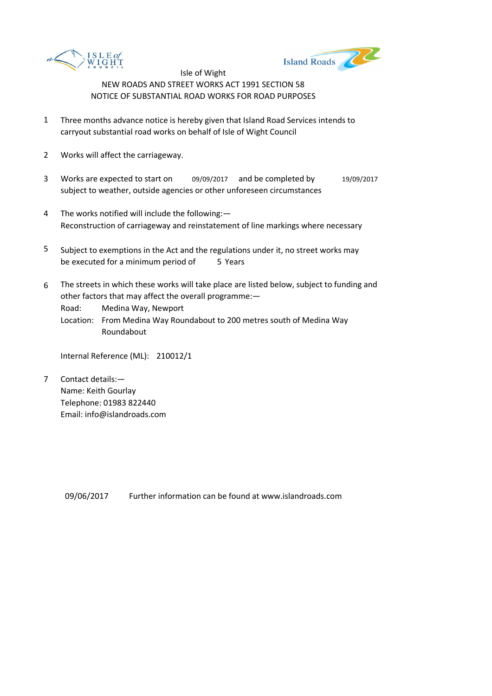



- 1 Three months advance notice is hereby given that Island Road Services intends to carryout substantial road works on behalf of Isle of Wight Council
- 2 Works will affect the carriageway.
- 3 Works are expected to start on 09/09/2017 and be completed by 19/09/2017 subject to weather, outside agencies or other unforeseen circumstances
- 4 The works notified will include the following:— Reconstruction of carriageway and reinstatement of line markings where necessary
- 5 be executed for a minimum period of 5 Years Subject to exemptions in the Act and the regulations under it, no street works may
- 6 The streets in which these works will take place are listed below, subject to funding and other factors that may affect the overall programme:—

Road: Medina Way, Newport

Location: From Medina Way Roundabout to 200 metres south of Medina Way Roundabout

Internal Reference (ML): 210012/1

7 Contact details:— Name: Keith Gourlay Telephone: 01983 822440 Email: info@islandroads.com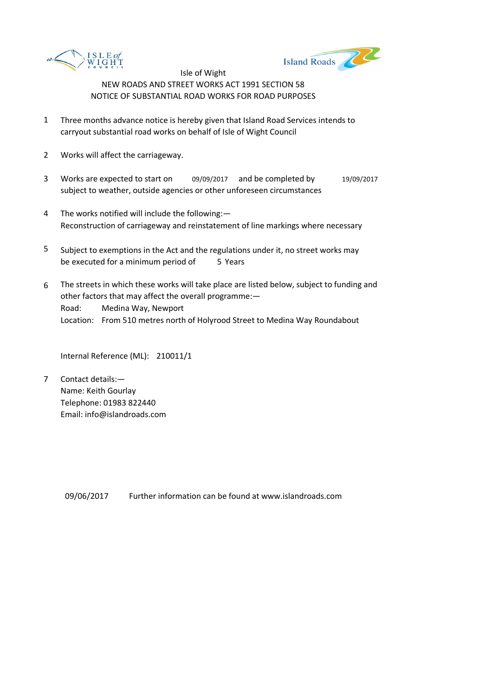



- 1 Three months advance notice is hereby given that Island Road Services intends to carryout substantial road works on behalf of Isle of Wight Council
- 2 Works will affect the carriageway.
- 3 Works are expected to start on 09/09/2017 and be completed by 19/09/2017 subject to weather, outside agencies or other unforeseen circumstances
- 4 The works notified will include the following:— Reconstruction of carriageway and reinstatement of line markings where necessary
- 5 be executed for a minimum period of 5 Years Subject to exemptions in the Act and the regulations under it, no street works may
- 6 Road: Medina Way, Newport Location: From 510 metres north of Holyrood Street to Medina Way Roundabout The streets in which these works will take place are listed below, subject to funding and other factors that may affect the overall programme:—

Internal Reference (ML): 210011/1

7 Contact details:— Name: Keith Gourlay Telephone: 01983 822440 Email: info@islandroads.com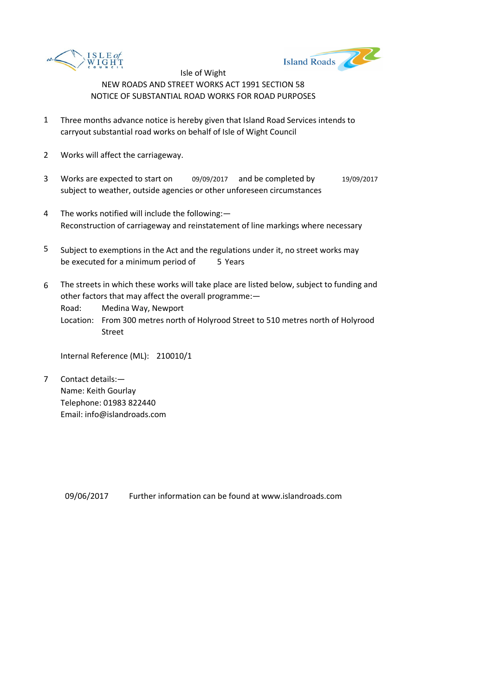



- 1 Three months advance notice is hereby given that Island Road Services intends to carryout substantial road works on behalf of Isle of Wight Council
- 2 Works will affect the carriageway.
- 3 Works are expected to start on 09/09/2017 and be completed by 19/09/2017 subject to weather, outside agencies or other unforeseen circumstances
- 4 The works notified will include the following:— Reconstruction of carriageway and reinstatement of line markings where necessary
- 5 be executed for a minimum period of 5 Years Subject to exemptions in the Act and the regulations under it, no street works may
- 6 The streets in which these works will take place are listed below, subject to funding and other factors that may affect the overall programme:—

Road: Medina Way, Newport

Location: From 300 metres north of Holyrood Street to 510 metres north of Holyrood Street

Internal Reference (ML): 210010/1

7 Contact details:— Name: Keith Gourlay Telephone: 01983 822440 Email: info@islandroads.com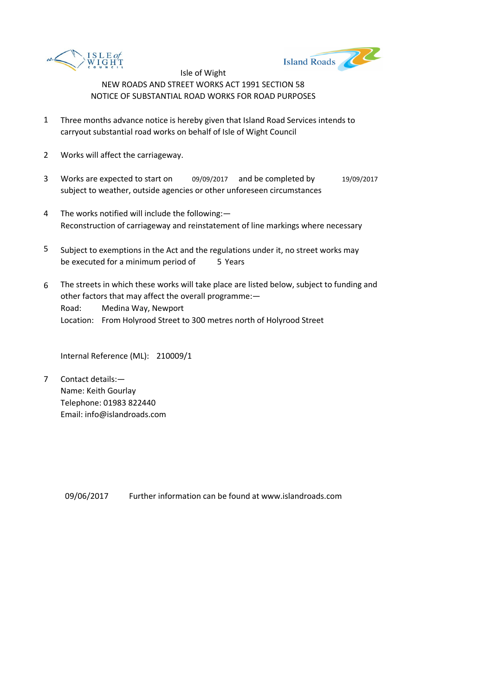



- 1 Three months advance notice is hereby given that Island Road Services intends to carryout substantial road works on behalf of Isle of Wight Council
- 2 Works will affect the carriageway.
- 3 Works are expected to start on 09/09/2017 and be completed by 19/09/2017 subject to weather, outside agencies or other unforeseen circumstances
- 4 The works notified will include the following:— Reconstruction of carriageway and reinstatement of line markings where necessary
- 5 be executed for a minimum period of 5 Years Subject to exemptions in the Act and the regulations under it, no street works may
- 6 Road: Medina Way, Newport Location: From Holyrood Street to 300 metres north of Holyrood Street The streets in which these works will take place are listed below, subject to funding and other factors that may affect the overall programme:—

Internal Reference (ML): 210009/1

7 Contact details:— Name: Keith Gourlay Telephone: 01983 822440 Email: info@islandroads.com